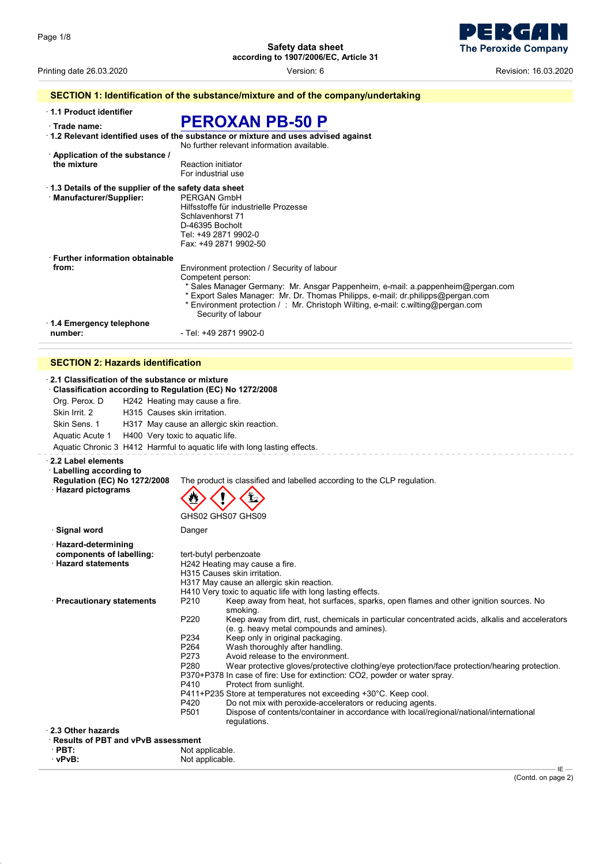ER  $\overline{\mathbf{d}}$ **The Peroxide Company** 

Printing date 26.03.2020 Version: 6 Revision: 16.03.2020

| 1.1 Product identifier                               |                                                                                                        |
|------------------------------------------------------|--------------------------------------------------------------------------------------------------------|
| · Trade name:                                        | <b>PEROXAN PB-50 P</b>                                                                                 |
|                                                      | $\cdot$ 1.2 Relevant identified uses of the substance or mixture and uses advised against              |
|                                                      | No further relevant information available.                                                             |
| Application of the substance /                       |                                                                                                        |
| the mixture                                          | <b>Reaction initiator</b>                                                                              |
|                                                      | For industrial use                                                                                     |
| 1.3 Details of the supplier of the safety data sheet |                                                                                                        |
| · Manufacturer/Supplier:                             | PFRGAN GmbH                                                                                            |
|                                                      | Hilfsstoffe für industrielle Prozesse                                                                  |
|                                                      | Schlavenhorst 71                                                                                       |
|                                                      | D-46395 Bocholt                                                                                        |
|                                                      | Tel: +49 2871 9902-0                                                                                   |
|                                                      | Fax: +49 2871 9902-50                                                                                  |
| <b>Eurther information obtainable</b>                |                                                                                                        |
| from:                                                | Environment protection / Security of labour                                                            |
|                                                      | Competent person:                                                                                      |
|                                                      | * Sales Manager Germany: Mr. Ansgar Pappenheim, e-mail: a pappenheim@pergan.com                        |
|                                                      | * Export Sales Manager: Mr. Dr. Thomas Philipps, e-mail: dr.philipps@pergan.com                        |
|                                                      | * Environment protection / : Mr. Christoph Wilting, e-mail: c.wilting@pergan.com<br>Security of labour |
| 1.4 Emergency telephone                              |                                                                                                        |
| number:                                              | - Tel: +49 2871 9902-0                                                                                 |

## **SECTION 2: Hazards identification**

| 2.1 Classification of the substance or mixture<br>Classification according to Regulation (EC) No 1272/2008 |                                                                                                                                                                                                                                                                                                                                                                                                                                                                                                                                                                                                                                                                                                                                                                                                                                                                                                                   |
|------------------------------------------------------------------------------------------------------------|-------------------------------------------------------------------------------------------------------------------------------------------------------------------------------------------------------------------------------------------------------------------------------------------------------------------------------------------------------------------------------------------------------------------------------------------------------------------------------------------------------------------------------------------------------------------------------------------------------------------------------------------------------------------------------------------------------------------------------------------------------------------------------------------------------------------------------------------------------------------------------------------------------------------|
| Org. Perox. D                                                                                              | H242 Heating may cause a fire.                                                                                                                                                                                                                                                                                                                                                                                                                                                                                                                                                                                                                                                                                                                                                                                                                                                                                    |
| Skin Irrit. 2<br>H315 Causes skin irritation.                                                              |                                                                                                                                                                                                                                                                                                                                                                                                                                                                                                                                                                                                                                                                                                                                                                                                                                                                                                                   |
| Skin Sens. 1                                                                                               | H317 May cause an allergic skin reaction.                                                                                                                                                                                                                                                                                                                                                                                                                                                                                                                                                                                                                                                                                                                                                                                                                                                                         |
|                                                                                                            |                                                                                                                                                                                                                                                                                                                                                                                                                                                                                                                                                                                                                                                                                                                                                                                                                                                                                                                   |
| Aquatic Acute 1                                                                                            | H400 Very toxic to aquatic life.                                                                                                                                                                                                                                                                                                                                                                                                                                                                                                                                                                                                                                                                                                                                                                                                                                                                                  |
|                                                                                                            | Aquatic Chronic 3 H412 Harmful to aquatic life with long lasting effects.                                                                                                                                                                                                                                                                                                                                                                                                                                                                                                                                                                                                                                                                                                                                                                                                                                         |
| 2.2 Label elements<br>Labelling according to<br><b>Regulation (EC) No 1272/2008</b><br>· Hazard pictograms | The product is classified and labelled according to the CLP regulation.<br>GHS02 GHS07 GHS09                                                                                                                                                                                                                                                                                                                                                                                                                                                                                                                                                                                                                                                                                                                                                                                                                      |
| ∙ Signal word                                                                                              | Danger                                                                                                                                                                                                                                                                                                                                                                                                                                                                                                                                                                                                                                                                                                                                                                                                                                                                                                            |
| · Hazard-determining<br>components of labelling:<br><b>Hazard statements</b>                               | tert-butyl perbenzoate<br>H242 Heating may cause a fire.<br>H315 Causes skin irritation.<br>H317 May cause an allergic skin reaction.<br>H410 Very toxic to aquatic life with long lasting effects.                                                                                                                                                                                                                                                                                                                                                                                                                                                                                                                                                                                                                                                                                                               |
| · Precautionary statements                                                                                 | P210<br>Keep away from heat, hot surfaces, sparks, open flames and other ignition sources. No<br>smoking.<br>P220<br>Keep away from dirt, rust, chemicals in particular concentrated acids, alkalis and accelerators<br>(e. g. heavy metal compounds and amines).<br>P <sub>2</sub> 34<br>Keep only in original packaging.<br>P264<br>Wash thoroughly after handling.<br>P273<br>Avoid release to the environment.<br>P280<br>Wear protective gloves/protective clothing/eye protection/face protection/hearing protection.<br>P370+P378 In case of fire: Use for extinction: CO2, powder or water spray.<br>Protect from sunlight.<br>P410<br>P411+P235 Store at temperatures not exceeding +30°C. Keep cool.<br>P420<br>Do not mix with peroxide-accelerators or reducing agents.<br>P <sub>501</sub><br>Dispose of contents/container in accordance with local/regional/national/international<br>regulations. |
| 2.3 Other hazards                                                                                          |                                                                                                                                                                                                                                                                                                                                                                                                                                                                                                                                                                                                                                                                                                                                                                                                                                                                                                                   |
| <b>Results of PBT and vPvB assessment</b>                                                                  |                                                                                                                                                                                                                                                                                                                                                                                                                                                                                                                                                                                                                                                                                                                                                                                                                                                                                                                   |
| $\cdot$ PBT:                                                                                               | Not applicable.                                                                                                                                                                                                                                                                                                                                                                                                                                                                                                                                                                                                                                                                                                                                                                                                                                                                                                   |
| · vPvB:                                                                                                    | Not applicable.                                                                                                                                                                                                                                                                                                                                                                                                                                                                                                                                                                                                                                                                                                                                                                                                                                                                                                   |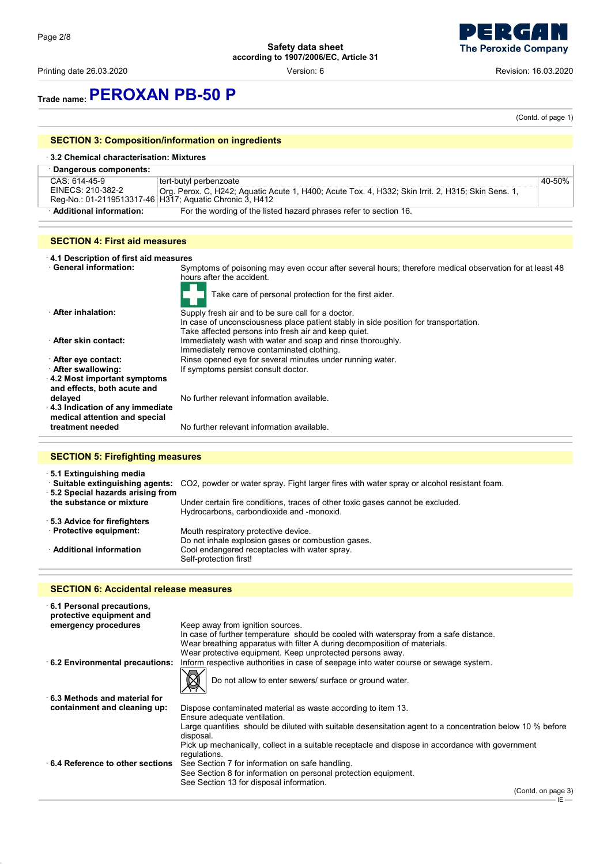Printing date 26.03.2020 **Printing date 26.03.2020** Cersion: 6 **Revision: 16.03.2020** Revision: 16.03.2020

**The Peroxide Company** 

# **Trade name:PEROXAN PB-50 P**

(Contd. of page 1)

## **SECTION 3: Composition/information on ingredients**

| 3.2 Chemical characterisation: Mixtures |                                                                                                                                                                                         |        |  |
|-----------------------------------------|-----------------------------------------------------------------------------------------------------------------------------------------------------------------------------------------|--------|--|
| Dangerous components:                   |                                                                                                                                                                                         |        |  |
| CAS: 614-45-9<br>EINECS: 210-382-2      | tert-butyl perbenzoate<br>Org. Perox. C, H242; Aquatic Acute 1, H400; Acute Tox. 4, H332; Skin Irrit. 2, H315; Skin Sens. 1,<br>Reg-No.: 01-2119513317-46 H317; Aquatic Chronic 3, H412 | 40-50% |  |
| · Additional information:               | For the wording of the listed hazard phrases refer to section 16.                                                                                                                       |        |  |

### **SECTION 4: First aid measures**

· **4.1 Description of first aid measures**

Symptoms of poisoning may even occur after several hours; therefore medical observation for at least 48 hours after the accident.

|                                                                  | Take care of personal protection for the first aider.                                |
|------------------------------------------------------------------|--------------------------------------------------------------------------------------|
| <b>After inhalation:</b>                                         | Supply fresh air and to be sure call for a doctor.                                   |
|                                                                  | In case of unconsciousness place patient stably in side position for transportation. |
|                                                                  | Take affected persons into fresh air and keep quiet.                                 |
| After skin contact:                                              | Immediately wash with water and soap and rinse thoroughly.                           |
|                                                                  | Immediately remove contaminated clothing.                                            |
| After eye contact:                                               | Rinse opened eye for several minutes under running water.                            |
| After swallowing:                                                | If symptoms persist consult doctor.                                                  |
| 4.2 Most important symptoms<br>and effects, both acute and       |                                                                                      |
| delayed                                                          | No further relevant information available.                                           |
| 4.3 Indication of any immediate<br>medical attention and special |                                                                                      |
| treatment needed                                                 | No further relevant information available.                                           |

### **SECTION 5: Firefighting measures**

· **5.1 Extinguishing media** · **Suitable extinguishing agents:** CO2, powder or water spray. Fight larger fires with water spray or alcohol resistant foam. · **5.2 Special hazards arising from the substance or mixture** Under certain fire conditions, traces of other toxic gases cannot be excluded. Hydrocarbons, carbondioxide and -monoxid. · **5.3 Advice for firefighters** Mouth respiratory protective device. Do not inhale explosion gases or combustion gases. · **Additional information** Cool endangered receptacles with water spray. Self-protection first!

### **SECTION 6: Accidental release measures**

| protective equipment and<br>emergency procedures<br>Keep away from ignition sources.<br>In case of further temperature should be cooled with waterspray from a safe distance.<br>Wear breathing apparatus with filter A during decomposition of materials. |  |
|------------------------------------------------------------------------------------------------------------------------------------------------------------------------------------------------------------------------------------------------------------|--|
|                                                                                                                                                                                                                                                            |  |
|                                                                                                                                                                                                                                                            |  |
|                                                                                                                                                                                                                                                            |  |
| Wear protective equipment. Keep unprotected persons away.<br>Inform respective authorities in case of seepage into water course or sewage system.<br>6.2 Environmental precautions:                                                                        |  |
|                                                                                                                                                                                                                                                            |  |
| Do not allow to enter sewers/ surface or ground water.                                                                                                                                                                                                     |  |
| $\cdot$ 6.3 Methods and material for                                                                                                                                                                                                                       |  |
| containment and cleaning up:<br>Dispose contaminated material as waste according to item 13.                                                                                                                                                               |  |
| Ensure adequate ventilation.                                                                                                                                                                                                                               |  |
| Large quantities should be diluted with suitable desensitation agent to a concentration below 10 % before<br>disposal.                                                                                                                                     |  |
| Pick up mechanically, collect in a suitable receptacle and dispose in accordance with government                                                                                                                                                           |  |
| regulations.<br>⋅ 6.4 Reference to other sections<br>See Section 7 for information on safe handling.                                                                                                                                                       |  |
| See Section 8 for information on personal protection equipment.                                                                                                                                                                                            |  |
| See Section 13 for disposal information.<br>$\sim$                                                                                                                                                                                                         |  |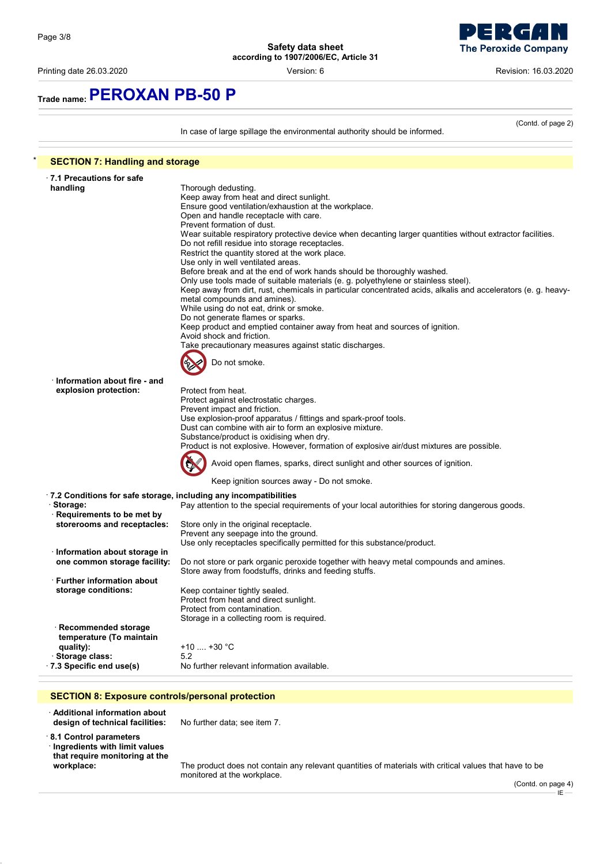

Printing date 26.03.2020 Version: 6 Revision: 16.03.2020

# **Trade name:PEROXAN PB-50 P**

In case of large spillage the environmental authority should be informed.

(Contd. of page 2)

| <b>SECTION 7: Handling and storage</b> |                                                                                                               |
|----------------------------------------|---------------------------------------------------------------------------------------------------------------|
| $\cdot$ 7.1 Precautions for safe       |                                                                                                               |
| handling                               | Thorough dedusting.                                                                                           |
|                                        | Keep away from heat and direct sunlight.                                                                      |
|                                        | Ensure good ventilation/exhaustion at the workplace.                                                          |
|                                        | Open and handle receptacle with care.                                                                         |
|                                        | Prevent formation of dust.                                                                                    |
|                                        | Wear suitable respiratory protective device when decanting larger quantities without extractor facilities.    |
|                                        | Do not refill residue into storage receptacles.                                                               |
|                                        | Restrict the quantity stored at the work place.                                                               |
|                                        | Use only in well ventilated areas.                                                                            |
|                                        | Before break and at the end of work hands should be thoroughly washed.                                        |
|                                        | Only use tools made of suitable materials (e. g. polyethylene or stainless steel).                            |
|                                        | Keep away from dirt, rust, chemicals in particular concentrated acids, alkalis and accelerators (e. g. heavy- |
|                                        | metal compounds and amines).                                                                                  |
|                                        | While using do not eat, drink or smoke.                                                                       |
|                                        | Do not generate flames or sparks.                                                                             |
|                                        | Keep product and emptied container away from heat and sources of ignition.                                    |
|                                        | Avoid shock and friction.                                                                                     |
|                                        | Take precautionary measures against static discharges.                                                        |
|                                        |                                                                                                               |
|                                        | Do not smoke.                                                                                                 |
|                                        |                                                                                                               |
| Information about fire - and           |                                                                                                               |
| explosion protection:                  | Protect from heat.                                                                                            |
|                                        | Protect against electrostatic charges.                                                                        |
|                                        | Prevent impact and friction.                                                                                  |
|                                        | Use explosion-proof apparatus / fittings and spark-proof tools.                                               |
|                                        | Dust can combine with air to form an explosive mixture.                                                       |
|                                        | Substance/product is oxidising when dry.                                                                      |
|                                        | Product is not explosive. However, formation of explosive air/dust mixtures are possible.                     |
|                                        |                                                                                                               |
|                                        | Avoid open flames, sparks, direct sunlight and other sources of ignition.                                     |
|                                        | Keep ignition sources away - Do not smoke.                                                                    |
|                                        |                                                                                                               |
|                                        | · 7.2 Conditions for safe storage, including any incompatibilities                                            |
| · Storage:                             | Pay attention to the special requirements of your local autorithies for storing dangerous goods.              |
| · Requirements to be met by            |                                                                                                               |
| storerooms and receptacles:            | Store only in the original receptacle.                                                                        |
|                                        | Prevent any seepage into the ground.                                                                          |
|                                        | Use only receptacles specifically permitted for this substance/product.                                       |
| · Information about storage in         |                                                                                                               |
| one common storage facility:           | Do not store or park organic peroxide together with heavy metal compounds and amines.                         |
|                                        | Store away from foodstuffs, drinks and feeding stuffs.                                                        |
| ⋅ Further information about            |                                                                                                               |
| storage conditions:                    | Keep container tightly sealed.                                                                                |
|                                        | Protect from heat and direct sunlight.                                                                        |
|                                        |                                                                                                               |
|                                        | Protect from contamination.                                                                                   |
|                                        | Storage in a collecting room is required.                                                                     |
| · Recommended storage                  |                                                                                                               |
| temperature (To maintain               |                                                                                                               |
| quality):                              | +10  +30 °C                                                                                                   |
| · Storage class:                       | 5.2                                                                                                           |
| .7.3 Specific end use(s)               | No further relevant information available.                                                                    |

· **Additional information about design of technical facilities:** No further data; see item 7. · **8.1 Control parameters**

· **Ingredients with limit values that require monitoring at the**

**workplace:** The product does not contain any relevant quantities of materials with critical values that have to be monitored at the workplace.

(Contd. on page 4)  $E -$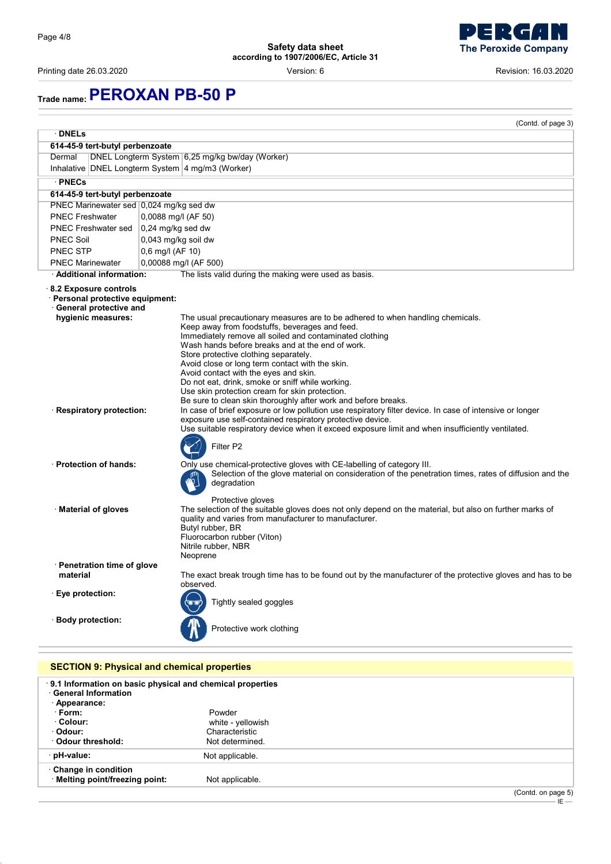j

**Safety data sheet according to 1907/2006/EC, Article 31**

Printing date 26.03.2020 Version: 6 Revision: 16.03.2020

۳ n ) **The Peroxide Company** 

# **Trade name:PEROXAN PB-50 P**

|                                                                                               |                    | (Contd. of page 3)                                                                                                                                                     |
|-----------------------------------------------------------------------------------------------|--------------------|------------------------------------------------------------------------------------------------------------------------------------------------------------------------|
| · DNELs                                                                                       |                    |                                                                                                                                                                        |
| 614-45-9 tert-butyl perbenzoate                                                               |                    |                                                                                                                                                                        |
| Dermal                                                                                        |                    | DNEL Longterm System 6,25 mg/kg bw/day (Worker)                                                                                                                        |
|                                                                                               |                    | Inhalative DNEL Longterm System 4 mg/m3 (Worker)                                                                                                                       |
| · PNECs                                                                                       |                    |                                                                                                                                                                        |
| 614-45-9 tert-butyl perbenzoate                                                               |                    |                                                                                                                                                                        |
| PNEC Marinewater sed 0,024 mg/kg sed dw                                                       |                    |                                                                                                                                                                        |
| <b>PNEC Freshwater</b>                                                                        |                    | 0,0088 mg/l (AF 50)                                                                                                                                                    |
| <b>PNEC Freshwater sed</b>                                                                    |                    | $0.24$ mg/kg sed dw                                                                                                                                                    |
| <b>PNEC Soil</b>                                                                              |                    | 0,043 mg/kg soil dw                                                                                                                                                    |
| PNEC STP                                                                                      | $0,6$ mg/l (AF 10) |                                                                                                                                                                        |
| <b>PNEC Marinewater</b>                                                                       |                    | 0,00088 mg/l (AF 500)                                                                                                                                                  |
| · Additional information:                                                                     |                    | The lists valid during the making were used as basis.                                                                                                                  |
| $\cdot$ 8.2 Exposure controls<br>· Personal protective equipment:<br>· General protective and |                    |                                                                                                                                                                        |
| hygienic measures:                                                                            |                    | The usual precautionary measures are to be adhered to when handling chemicals.                                                                                         |
|                                                                                               |                    | Keep away from foodstuffs, beverages and feed.                                                                                                                         |
|                                                                                               |                    | Immediately remove all soiled and contaminated clothing<br>Wash hands before breaks and at the end of work.                                                            |
|                                                                                               |                    | Store protective clothing separately.                                                                                                                                  |
|                                                                                               |                    | Avoid close or long term contact with the skin.                                                                                                                        |
|                                                                                               |                    | Avoid contact with the eyes and skin.<br>Do not eat, drink, smoke or sniff while working.                                                                              |
|                                                                                               |                    | Use skin protection cream for skin protection.                                                                                                                         |
|                                                                                               |                    | Be sure to clean skin thoroughly after work and before breaks.                                                                                                         |
| · Respiratory protection:                                                                     |                    | In case of brief exposure or low pollution use respiratory filter device. In case of intensive or longer<br>exposure use self-contained respiratory protective device. |
|                                                                                               |                    | Use suitable respiratory device when it exceed exposure limit and when insufficiently ventilated.                                                                      |
|                                                                                               |                    | Filter P2                                                                                                                                                              |
| · Protection of hands:                                                                        |                    | Only use chemical-protective gloves with CE-labelling of category III.                                                                                                 |
|                                                                                               |                    | Selection of the glove material on consideration of the penetration times, rates of diffusion and the<br>degradation                                                   |
|                                                                                               |                    | Protective gloves                                                                                                                                                      |
| · Material of gloves                                                                          |                    | The selection of the suitable gloves does not only depend on the material, but also on further marks of<br>quality and varies from manufacturer to manufacturer.       |
|                                                                                               |                    | Butyl rubber, BR<br>Fluorocarbon rubber (Viton)                                                                                                                        |
|                                                                                               |                    | Nitrile rubber, NBR                                                                                                                                                    |
|                                                                                               |                    | Neoprene                                                                                                                                                               |
| Penetration time of glove                                                                     |                    |                                                                                                                                                                        |
| material                                                                                      |                    | The exact break trough time has to be found out by the manufacturer of the protective gloves and has to be<br>observed.                                                |
| <b>Eye protection:</b>                                                                        |                    |                                                                                                                                                                        |
|                                                                                               |                    | Tightly sealed goggles                                                                                                                                                 |
| · Body protection:                                                                            |                    | Protective work clothing                                                                                                                                               |
|                                                                                               |                    |                                                                                                                                                                        |
|                                                                                               |                    | <b>SECTION 9: Physical and chemical properties</b>                                                                                                                     |
| <b>General Information</b>                                                                    |                    | 9.1 Information on basic physical and chemical properties                                                                                                              |

| · pH-value:<br>Change in condition | Not applicable.   |
|------------------------------------|-------------------|
|                                    |                   |
| <b>Odour threshold:</b>            | Not determined.   |
| · Odour:                           | Characteristic    |
| · Colour:                          | white - yellowish |
| · Form:                            | Powder            |
| · Appearance:                      |                   |
| -------------------------          |                   |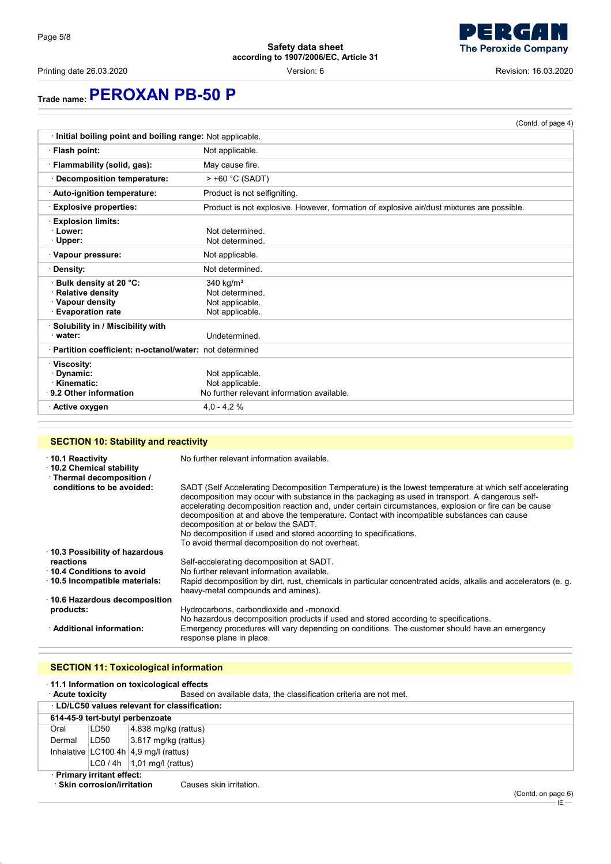Printing date 26.03.2020 Version: 6 Revision: 16.03.2020

**The Peroxide Company** 

# **Trade name:PEROXAN PB-50 P**

|                                                                                           | (Contd. of page 4)                                                                        |  |  |
|-------------------------------------------------------------------------------------------|-------------------------------------------------------------------------------------------|--|--|
| Initial boiling point and boiling range: Not applicable.                                  |                                                                                           |  |  |
| · Flash point:                                                                            | Not applicable.                                                                           |  |  |
| · Flammability (solid, gas):                                                              | May cause fire.                                                                           |  |  |
| Decomposition temperature:                                                                | > +60 °C (SADT)                                                                           |  |  |
| · Auto-ignition temperature:                                                              | Product is not selfigniting.                                                              |  |  |
| <b>Explosive properties:</b>                                                              | Product is not explosive. However, formation of explosive air/dust mixtures are possible. |  |  |
| <b>Explosion limits:</b><br>· Lower:<br>· Upper:                                          | Not determined.<br>Not determined.                                                        |  |  |
| Vapour pressure:                                                                          | Not applicable.                                                                           |  |  |
| · Density:                                                                                | Not determined.                                                                           |  |  |
| Bulk density at 20 °C:<br>Relative density<br>· Vapour density<br><b>Evaporation rate</b> | 340 $kg/m3$<br>Not determined.<br>Not applicable.<br>Not applicable.                      |  |  |
| · Solubility in / Miscibility with<br>water:                                              | Undetermined.                                                                             |  |  |
| · Partition coefficient: n-octanol/water: not determined                                  |                                                                                           |  |  |
| · Viscosity:<br>· Dynamic:<br>· Kinematic:<br>$\cdot$ 9.2 Other information               | Not applicable.<br>Not applicable.<br>No further relevant information available.          |  |  |
| · Active oxygen                                                                           | $4.0 - 4.2%$                                                                              |  |  |

## **SECTION 10: Stability and reactivity**

| ⋅ 10.1 Reactivity<br>10.2 Chemical stability<br>· Thermal decomposition / | No further relevant information available.                                                                                                                                                                                                                                                                                                                                                                                                                                                                                                                                     |
|---------------------------------------------------------------------------|--------------------------------------------------------------------------------------------------------------------------------------------------------------------------------------------------------------------------------------------------------------------------------------------------------------------------------------------------------------------------------------------------------------------------------------------------------------------------------------------------------------------------------------------------------------------------------|
| conditions to be avoided:                                                 | SADT (Self Accelerating Decomposition Temperature) is the lowest temperature at which self accelerating<br>decomposition may occur with substance in the packaging as used in transport. A dangerous self-<br>accelerating decomposition reaction and, under certain circumstances, explosion or fire can be cause<br>decomposition at and above the temperature. Contact with incompatible substances can cause<br>decomposition at or below the SADT.<br>No decomposition if used and stored according to specifications.<br>To avoid thermal decomposition do not overheat. |
| 10.3 Possibility of hazardous                                             |                                                                                                                                                                                                                                                                                                                                                                                                                                                                                                                                                                                |
| reactions                                                                 | Self-accelerating decomposition at SADT.                                                                                                                                                                                                                                                                                                                                                                                                                                                                                                                                       |
| 10.4 Conditions to avoid                                                  | No further relevant information available.                                                                                                                                                                                                                                                                                                                                                                                                                                                                                                                                     |
| ⋅ 10.5 Incompatible materials:                                            | Rapid decomposition by dirt, rust, chemicals in particular concentrated acids, alkalis and accelerators (e. g.<br>heavy-metal compounds and amines).                                                                                                                                                                                                                                                                                                                                                                                                                           |
| ⋅ 10.6 Hazardous decomposition                                            |                                                                                                                                                                                                                                                                                                                                                                                                                                                                                                                                                                                |
| products:                                                                 | Hydrocarbons, carbondioxide and -monoxid.                                                                                                                                                                                                                                                                                                                                                                                                                                                                                                                                      |
|                                                                           | No hazardous decomposition products if used and stored according to specifications.                                                                                                                                                                                                                                                                                                                                                                                                                                                                                            |
| · Additional information:                                                 | Emergency procedures will vary depending on conditions. The customer should have an emergency<br>response plane in place.                                                                                                                                                                                                                                                                                                                                                                                                                                                      |

## **SECTION 11: Toxicological information**

| $\cdot$ 11.1 Information on toxicological effects      |                                               |                                                                   |  |
|--------------------------------------------------------|-----------------------------------------------|-------------------------------------------------------------------|--|
| · Acute toxicity                                       |                                               | Based on available data, the classification criteria are not met. |  |
|                                                        | · LD/LC50 values relevant for classification: |                                                                   |  |
|                                                        |                                               | 614-45-9 tert-butyl perbenzoate                                   |  |
| Oral                                                   | LD50                                          | $ 4.838 \text{ mg/kg}$ (rattus)                                   |  |
| Dermal                                                 | LD50                                          | $ 3.817 \text{ mg/kg}$ (rattus)                                   |  |
|                                                        |                                               | Inhalative $ LC100 4h 4.9$ mg/l (rattus)                          |  |
|                                                        |                                               | $ LCO / 4h $ 1,01 mg/l (rattus)                                   |  |
| · Primary irritant effect:                             |                                               |                                                                   |  |
| · Skin corrosion/irritation<br>Causes skin irritation. |                                               |                                                                   |  |

(Contd. on page 6)  $-iE -$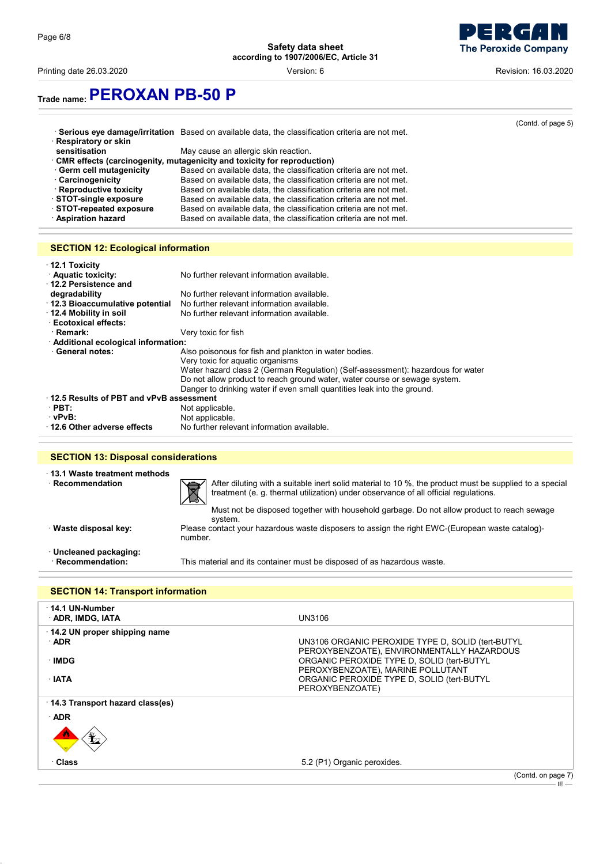

Printing date 26.03.2020 Version: 6 Revision: 16.03.2020

**Trade name:PEROXAN PB-50 P**

|                         |                                                                                                 | (Contd. of page 5) |
|-------------------------|-------------------------------------------------------------------------------------------------|--------------------|
|                         | Serious eye damage/irritation Based on available data, the classification criteria are not met. |                    |
| · Respiratory or skin   |                                                                                                 |                    |
| sensitisation           | May cause an allergic skin reaction.                                                            |                    |
|                         | · CMR effects (carcinogenity, mutagenicity and toxicity for reproduction)                       |                    |
| Germ cell mutagenicity  | Based on available data, the classification criteria are not met.                               |                    |
| · Carcinogenicity       | Based on available data, the classification criteria are not met.                               |                    |
| · Reproductive toxicity | Based on available data, the classification criteria are not met.                               |                    |
| STOT-single exposure    | Based on available data, the classification criteria are not met.                               |                    |
| STOT-repeated exposure  | Based on available data, the classification criteria are not met.                               |                    |
| · Aspiration hazard     | Based on available data, the classification criteria are not met.                               |                    |
|                         |                                                                                                 |                    |

## **SECTION 12: Ecological information**

| $\cdot$ 12.1 Toxicity<br><b>Aquatic toxicity:</b><br>12.2 Persistence and | No further relevant information available.                                      |  |  |  |
|---------------------------------------------------------------------------|---------------------------------------------------------------------------------|--|--|--|
| degradability                                                             | No further relevant information available.                                      |  |  |  |
| 12.3 Bioaccumulative potential                                            | No further relevant information available.                                      |  |  |  |
| 12.4 Mobility in soil                                                     | No further relevant information available.                                      |  |  |  |
| <b>Ecotoxical effects:</b>                                                |                                                                                 |  |  |  |
| · Remark:                                                                 | Very toxic for fish                                                             |  |  |  |
| · Additional ecological information:                                      |                                                                                 |  |  |  |
| <b>General notes:</b>                                                     | Also poisonous for fish and plankton in water bodies.                           |  |  |  |
|                                                                           | Very toxic for aquatic organisms                                                |  |  |  |
|                                                                           | Water hazard class 2 (German Regulation) (Self-assessment): hazardous for water |  |  |  |
|                                                                           | Do not allow product to reach ground water, water course or sewage system.      |  |  |  |
|                                                                           | Danger to drinking water if even small quantities leak into the ground.         |  |  |  |
| 12.5 Results of PBT and vPvB assessment                                   |                                                                                 |  |  |  |
| $\cdot$ PBT:                                                              | Not applicable.                                                                 |  |  |  |
| ∵vPvB:                                                                    | Not applicable.                                                                 |  |  |  |
| 12.6 Other adverse effects                                                | No further relevant information available.                                      |  |  |  |

### **SECTION 13: Disposal considerations**

|  | $^{\cdot}$ 13.1 Waste treatment methods |  |
|--|-----------------------------------------|--|
|  | · Recommendation                        |  |



After diluting with a suitable inert solid material to 10 %, the product must be supplied to a special treatment (e. g. thermal utilization) under observance of all official regulations.

Must not be disposed together with household garbage. Do not allow product to reach sewage system.

· **Waste disposal key:** Please contact your hazardous waste disposers to assign the right EWC-(European waste catalog) number.

· **Uncleaned packaging:**

This material and its container must be disposed of as hazardous waste.

# **SECTION 14: Transport information**

| UN3106                                                                                                                                                                                                                                              |
|-----------------------------------------------------------------------------------------------------------------------------------------------------------------------------------------------------------------------------------------------------|
| UN3106 ORGANIC PEROXIDE TYPE D, SOLID (tert-BUTYL<br>PEROXYBENZOATE), ENVIRONMENTALLY HAZARDOUS<br>ORGANIC PEROXIDE TYPE D, SOLID (tert-BUTYL<br>PEROXYBENZOATE), MARINE POLLUTANT<br>ORGANIC PEROXIDE TYPE D, SOLID (tert-BUTYL<br>PEROXYBENZOATE) |
|                                                                                                                                                                                                                                                     |
|                                                                                                                                                                                                                                                     |
|                                                                                                                                                                                                                                                     |
| 5.2 (P1) Organic peroxides.                                                                                                                                                                                                                         |
| (Contd. on page 7)<br>IE —                                                                                                                                                                                                                          |
|                                                                                                                                                                                                                                                     |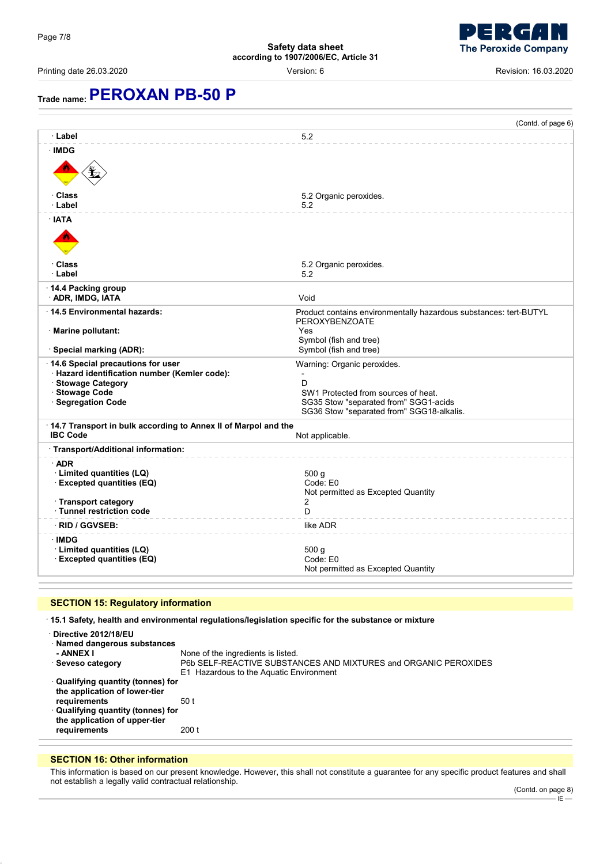

Printing date 26.03.2020 **Printing date 26.03.2020 Revision: 16.03.2020 Version: 6 Revision: 16.03.2020** 

# **Trade name:PEROXAN PB-50 P**

|                                                                                                                                                  | (Contd. of page 6)                                                                                                                                            |  |
|--------------------------------------------------------------------------------------------------------------------------------------------------|---------------------------------------------------------------------------------------------------------------------------------------------------------------|--|
| · Label                                                                                                                                          | 5.2                                                                                                                                                           |  |
| · IMDG                                                                                                                                           |                                                                                                                                                               |  |
| · Class<br>· Label                                                                                                                               | 5.2 Organic peroxides.<br>5.2                                                                                                                                 |  |
| · IATA                                                                                                                                           |                                                                                                                                                               |  |
| ∙ Class<br>· Label                                                                                                                               | 5.2 Organic peroxides.<br>5.2                                                                                                                                 |  |
| 14.4 Packing group<br>· ADR, IMDG, IATA                                                                                                          | Void                                                                                                                                                          |  |
| 14.5 Environmental hazards:                                                                                                                      | Product contains environmentally hazardous substances: tert-BUTYL<br>PEROXYBENZOATE                                                                           |  |
| · Marine pollutant:<br>Special marking (ADR):                                                                                                    | Yes<br>Symbol (fish and tree)<br>Symbol (fish and tree)                                                                                                       |  |
| 14.6 Special precautions for user<br>· Hazard identification number (Kemler code):<br>· Stowage Category<br>· Stowage Code<br>· Segregation Code | Warning: Organic peroxides.<br>D<br>SW1 Protected from sources of heat.<br>SG35 Stow "separated from" SGG1-acids<br>SG36 Stow "separated from" SGG18-alkalis. |  |
| 14.7 Transport in bulk according to Annex II of Marpol and the<br><b>IBC Code</b><br>Not applicable.                                             |                                                                                                                                                               |  |
| Transport/Additional information:                                                                                                                |                                                                                                                                                               |  |
| $\cdot$ ADR<br>· Limited quantities (LQ)<br>· Excepted quantities (EQ)                                                                           | 500 g<br>Code: E0<br>Not permitted as Excepted Quantity                                                                                                       |  |
| · Transport category<br>· Tunnel restriction code                                                                                                | 2<br>D.                                                                                                                                                       |  |
| · RID / GGVSEB:                                                                                                                                  | like ADR                                                                                                                                                      |  |
| · IMDG<br>· Limited quantities (LQ)<br><b>Excepted quantities (EQ)</b>                                                                           | 500 <sub>g</sub><br>Code: E0<br>Not permitted as Excepted Quantity                                                                                            |  |

## **SECTION 15: Regulatory information**

· **15.1 Safety, health and environmental regulations/legislation specific for the substance or mixture**

| Directive 2012/18/EU<br>· Named dangerous substances<br>- ANNEX I<br>· Seveso category                                                                                     | None of the ingredients is listed.<br>P6b SELF-REACTIVE SUBSTANCES AND MIXTURES and ORGANIC PEROXIDES<br>E1 Hazardous to the Aquatic Environment |
|----------------------------------------------------------------------------------------------------------------------------------------------------------------------------|--------------------------------------------------------------------------------------------------------------------------------------------------|
| · Qualifying quantity (tonnes) for<br>the application of lower-tier<br>requirements<br>· Qualifying quantity (tonnes) for<br>the application of upper-tier<br>requirements | 50 t<br>200 t                                                                                                                                    |

## **SECTION 16: Other information**

This information is based on our present knowledge. However, this shall not constitute a guarantee for any specific product features and shall not establish a legally valid contractual relationship.

IE